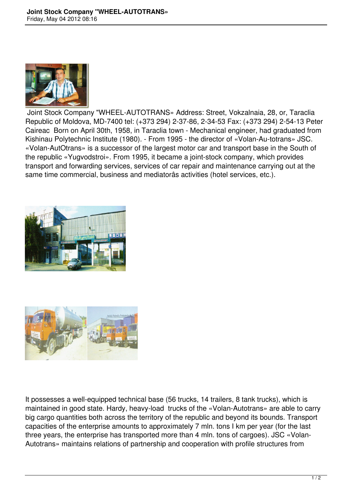

 Joint Stock Company "WHEEL-AUTOTRANS» Address: Street, Vokzalnaia, 28, or, Taraclia Republic of Moldova, MD-7400 tel: (+373 294) 2-37-86, 2-34-53 Fax: (+373 294) 2-54-13 Peter Caireac Born on April 30th, 1958, in Taraclia town - Mechanical engineer, had graduated from Kishinau Polytechnic Institute (1980). - From 1995 - the director of «Volan-Au-totrans» JSC. «Volan-AutOtrans» is a successor of the largest motor car and transport base in the South of the republic «Yugvodstroi». From 1995, it became a joint-stock company, which provides transport and forwarding services, services of car repair and maintenance carrying out at the same time commercial, business and mediatorâs activities (hotel services, etc.).





It possesses a well-equipped technical base (56 trucks, 14 trailers, 8 tank trucks), which is maintained in good state. Hardy, heavy-load trucks of the «Volan-Autotrans» are able to carry big cargo quantities both across the territory of the republic and beyond its bounds. Transport capacities of the enterprise amounts to approximately 7 mln. tons I km per year (for the last three years, the enterprise has transported more than 4 mln. tons of cargoes). JSC «Volan-Autotrans» maintains relations of partnership and cooperation with profile structures from